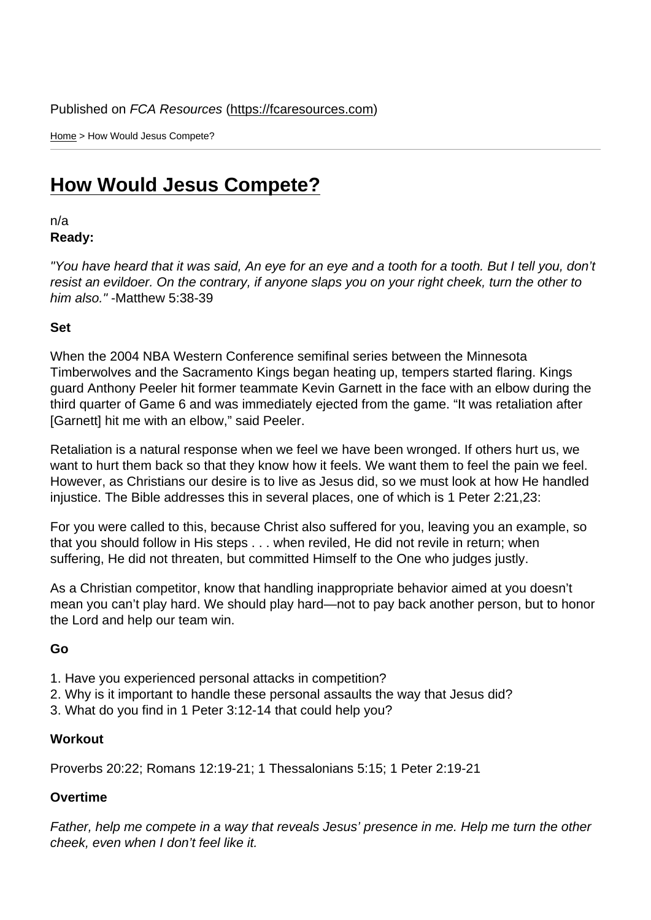Home > How Would Jesus Compete?

## [How](https://fcaresources.com/) Would Jesus Compete?

n/a [Ready:](https://fcaresources.com/devotional/how-would-jesus-compete) 

"You have heard that it was said, An eye for an eye and a tooth for a tooth. But I tell you, don't resist an evildoer. On the contrary, if anyone slaps you on your right cheek, turn the other to him also." -Matthew 5:38-39

Set

When the 2004 NBA Western Conference semifinal series between the Minnesota Timberwolves and the Sacramento Kings began heating up, tempers started flaring. Kings guard Anthony Peeler hit former teammate Kevin Garnett in the face with an elbow during the third quarter of Game 6 and was immediately ejected from the game. "It was retaliation after [Garnett] hit me with an elbow," said Peeler.

Retaliation is a natural response when we feel we have been wronged. If others hurt us, we want to hurt them back so that they know how it feels. We want them to feel the pain we feel. However, as Christians our desire is to live as Jesus did, so we must look at how He handled injustice. The Bible addresses this in several places, one of which is 1 Peter 2:21,23:

For you were called to this, because Christ also suffered for you, leaving you an example, so that you should follow in His steps . . . when reviled, He did not revile in return; when suffering, He did not threaten, but committed Himself to the One who judges justly.

As a Christian competitor, know that handling inappropriate behavior aimed at you doesn't mean you can't play hard. We should play hard—not to pay back another person, but to honor the Lord and help our team win.

Go

- 1. Have you experienced personal attacks in competition?
- 2. Why is it important to handle these personal assaults the way that Jesus did?
- 3. What do you find in 1 Peter 3:12-14 that could help you?

**Workout** 

Proverbs 20:22; Romans 12:19-21; 1 Thessalonians 5:15; 1 Peter 2:19-21

Overtime

Father, help me compete in a way that reveals Jesus' presence in me. Help me turn the other cheek, even when I don't feel like it.